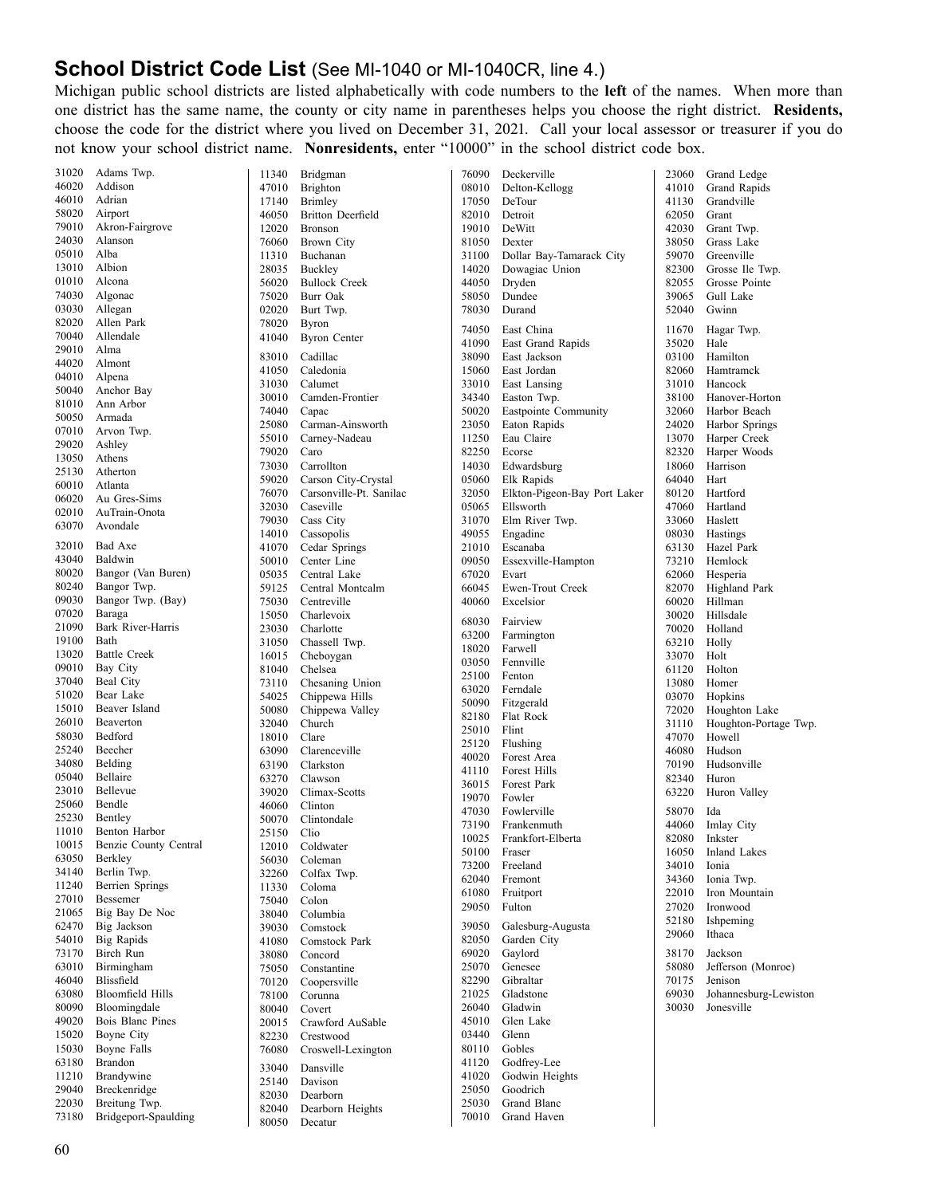## **School District Code List** (See MI-1040 or MI-1040CR, line 4.)

 Michigan public school districts are listed alphabetically with code numbers to the **left** of the names. When more than one district has the same name, the county or city name in parentheses helps you choose the right district. **Residents,** choose the code for the district where you lived on December 31, 2021. Call your local assessor or treasurer if you do not know your school district name. **Nonresidents,** enter "10000" in the school district code box.

| 31020          | Adams Twp.               | 11340          | Bridgman                    | 76090          | Deckerville                  | 23060          | Grand Ledge            |
|----------------|--------------------------|----------------|-----------------------------|----------------|------------------------------|----------------|------------------------|
| 46020          | Addison                  | 47010          | <b>Brighton</b>             | 08010          | Delton-Kellogg               | 41010          | Grand Rapids           |
| 46010          | Adrian                   | 17140          | Brimley                     | 17050          | DeTour                       | 41130          | Grandville             |
| 58020          | Airport                  | 46050          | <b>Britton Deerfield</b>    | 82010          | Detroit                      | 62050          | Grant                  |
| 79010          | Akron-Fairgrove          | 12020          | <b>Bronson</b>              | 19010          | DeWitt                       | 42030          | Grant Twp.             |
| 24030          | Alanson                  | 76060          | Brown City                  | 81050          | Dexter                       | 38050          | Grass Lake             |
| 05010          | Alba                     | 11310          | Buchanan                    | 31100          | Dollar Bay-Tamarack City     | 59070          | Greenville             |
| 13010          | Albion                   | 28035          | Buckley                     | 14020          | Dowagiac Union               | 82300          | Grosse Ile Twp.        |
| 01010          | Alcona                   | 56020          | <b>Bullock Creek</b>        | 44050          | Dryden                       | 82055          | Grosse Pointe          |
| 74030          | Algonac                  | 75020          | Burr Oak                    | 58050          | Dundee                       | 39065          | Gull Lake              |
| 03030          | Allegan                  | 02020          | Burt Twp.                   | 78030          | Durand                       | 52040          | Gwinn                  |
| 82020          | Allen Park               | 78020          | <b>Byron</b>                | 74050          | East China                   | 11670          | Hagar Twp.             |
| 70040<br>29010 | Allendale<br>Alma        | 41040          | <b>Byron Center</b>         | 41090          | East Grand Rapids            | 35020          | Hale                   |
| 44020          | Almont                   | 83010          | Cadillac                    | 38090          | East Jackson                 | 03100          | Hamilton               |
| 04010          | Alpena                   | 41050          | Caledonia                   | 15060          | East Jordan                  | 82060          | Hamtramck              |
| 50040          | Anchor Bay               | 31030          | Calumet                     | 33010          | East Lansing                 | 31010          | Hancock                |
| 81010          | Ann Arbor                | 30010          | Camden-Frontier             | 34340          | Easton Twp.                  | 38100          | Hanover-Horton         |
| 50050          | Armada                   | 74040          | Capac                       | 50020          | Eastpointe Community         | 32060          | Harbor Beach           |
| 07010          | Arvon Twp.               | 25080          | Carman-Ainsworth            | 23050          | Eaton Rapids                 | 24020          | Harbor Springs         |
| 29020          | Ashley                   | 55010          | Carney-Nadeau               | 11250          | Eau Claire                   | 13070          | Harper Creek           |
| 13050          | Athens                   | 79020          | Caro                        | 82250          | Ecorse                       | 82320          | Harper Woods           |
| 25130          | Atherton                 | 73030          | Carrollton                  | 14030          | Edwardsburg                  | 18060          | Harrison               |
| 60010          | Atlanta                  | 59020          | Carson City-Crystal         | 05060          | Elk Rapids                   | 64040          | Hart                   |
| 06020          | Au Gres-Sims             | 76070          | Carsonville-Pt. Sanilac     | 32050          | Elkton-Pigeon-Bay Port Laker | 80120          | Hartford               |
| 02010          | AuTrain-Onota            | 32030          | Caseville                   | 05065          | Ellsworth                    | 47060          | Hartland               |
| 63070          | Avondale                 | 79030          | Cass City                   | 31070<br>49055 | Elm River Twp.               | 33060          | Haslett                |
| 32010          | Bad Axe                  | 14010<br>41070 | Cassopolis<br>Cedar Springs | 21010          | Engadine<br>Escanaba         | 08030<br>63130 | Hastings<br>Hazel Park |
| 43040          | Baldwin                  | 50010          | Center Line                 | 09050          | Essexville-Hampton           | 73210          | Hemlock                |
| 80020          | Bangor (Van Buren)       | 05035          | Central Lake                | 67020          | Evart                        | 62060          | Hesperia               |
| 80240          | Bangor Twp.              | 59125          | Central Montcalm            | 66045          | Ewen-Trout Creek             | 82070          | Highland Park          |
| 09030          | Bangor Twp. (Bay)        | 75030          | Centreville                 | 40060          | Excelsior                    | 60020          | Hillman                |
| 07020          | Baraga                   | 15050          | Charlevoix                  |                |                              | 30020          | Hillsdale              |
| 21090          | Bark River-Harris        | 23030          | Charlotte                   | 68030          | Fairview                     | 70020          | Holland                |
| 19100          | Bath                     | 31050          | Chassell Twp.               | 63200          | Farmington                   | 63210          | Holly                  |
| 13020          | <b>Battle Creek</b>      | 16015          | Cheboygan                   | 18020          | Farwell                      | 33070          | Holt                   |
| 09010          | Bay City                 | 81040          | Chelsea                     | 03050          | Fennville                    | 61120          | Holton                 |
| 37040          | Beal City                | 73110          | Chesaning Union             | 25100<br>63020 | Fenton<br>Ferndale           | 13080          | Homer                  |
| 51020          | Bear Lake                | 54025          | Chippewa Hills              | 50090          | Fitzgerald                   | 03070          | Hopkins                |
| 15010          | Beaver Island            | 50080          | Chippewa Valley             | 82180          | Flat Rock                    | 72020          | Houghton Lake          |
| 26010          | Beaverton                | 32040          | Church                      | 25010          | Flint                        | 31110          | Houghton-Portage Twp.  |
| 58030          | Bedford                  | 18010          | Clare                       | 25120          | Flushing                     | 47070          | Howell                 |
| 25240          | Beecher                  | 63090          | Clarenceville               | 40020          | Forest Area                  | 46080          | Hudson                 |
| 34080          | Belding                  | 63190          | Clarkston                   | 41110          | Forest Hills                 | 70190          | Hudsonville            |
| 05040          | Bellaire                 | 63270          | Clawson                     | 36015          | Forest Park                  | 82340          | Huron                  |
| 23010          | Bellevue                 | 39020          | Climax-Scotts               | 19070          | Fowler                       | 63220          | Huron Valley           |
| 25060          | Bendle                   | 46060          | Clinton                     | 47030          | Fowlerville                  | 58070          | Ida                    |
| 25230<br>11010 | Bentley<br>Benton Harbor | 50070          | Clintondale                 | 73190          | Frankenmuth                  | 44060          | Imlay City             |
| 10015          | Benzie County Central    | 25150<br>12010 | Clio<br>Coldwater           | 10025          | Frankfort-Elberta            | 82080          | Inkster                |
| 63050          | Berkley                  | 56030          | Coleman                     | 50100          | Fraser                       | 16050          | Inland Lakes           |
| 34140          | Berlin Twp.              | 32260          | Colfax Twp.                 | 73200          | Freeland                     | 34010          | Ionia                  |
| 11240          | <b>Berrien Springs</b>   | 11330          | Coloma                      | 62040          | Fremont                      | 34360          | Ionia Twp.             |
| 27010          | Bessemer                 | 75040          | Colon                       | 61080          | Fruitport                    | 22010          | Iron Mountain          |
| 21065          | Big Bay De Noc           | 38040          | Columbia                    | 29050          | Fulton                       | 27020          | Ironwood               |
| 62470          | Big Jackson              | 39030          | Comstock                    | 39050          | Galesburg-Augusta            | 52180          | Ishpeming              |
| 54010          | <b>Big Rapids</b>        | 41080          | Comstock Park               | 82050          | Garden City                  | 29060          | Ithaca                 |
| 73170          | Birch Run                | 38080          | Concord                     | 69020          | Gaylord                      | 38170          | Jackson                |
| 63010          | Birmingham               | 75050          | Constantine                 | 25070          | Genesee                      | 58080          | Jefferson (Monroe)     |
| 46040          | Blissfield               | 70120          | Coopersville                | 82290          | Gibraltar                    | 70175          | Jenison                |
| 63080          | <b>Bloomfield Hills</b>  | 78100          | Corunna                     | 21025          | Gladstone                    | 69030          | Johannesburg-Lewiston  |
| 80090          | Bloomingdale             | 80040          | Covert                      | 26040          | Gladwin                      | 30030          | Jonesville             |
| 49020          | Bois Blanc Pines         | 20015          | Crawford AuSable            | 45010          | Glen Lake                    |                |                        |
| 15020          | Boyne City               | 82230          | Crestwood                   | 03440          | Glenn                        |                |                        |
| 15030          | Boyne Falls              | 76080          | Croswell-Lexington          | 80110          | Gobles                       |                |                        |
| 63180          | Brandon                  | 33040          | Dansville                   | 41120          | Godfrey-Lee                  |                |                        |
| 11210          | Brandywine               | 25140          | Davison                     | 41020          | Godwin Heights               |                |                        |
| 29040          | Breckenridge             | 82030          | Dearborn                    | 25050          | Goodrich                     |                |                        |
| 22030          | Breitung Twp.            | 82040          | Dearborn Heights            | 25030          | Grand Blanc                  |                |                        |
| 73180          | Bridgeport-Spaulding     | 80050          | Decatur                     | 70010          | Grand Haven                  |                |                        |